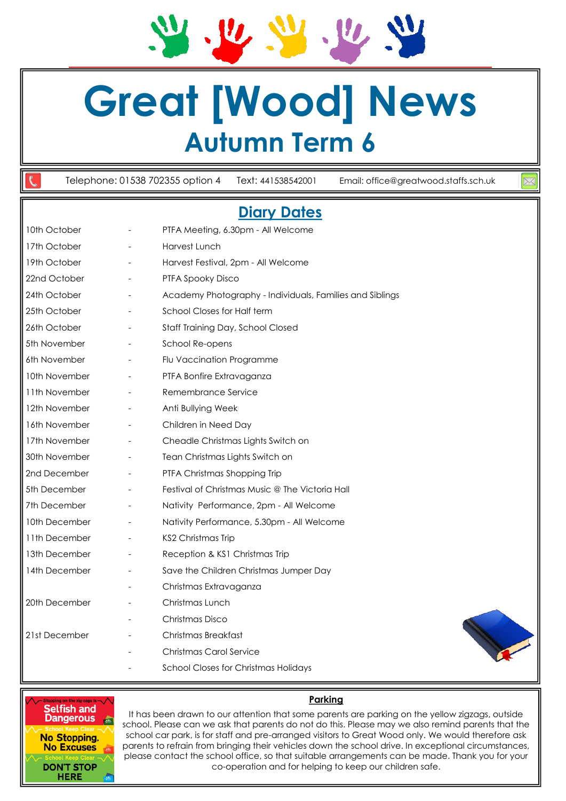**Great [Wood] News Autumn Term 6**

Telephone: 01538 702355 option 4 Text: 441538542001 Email: office@greatwood.staffs.sch.uk

# **Diary Dates**

|               |                          | <u>PIMI / PUICU</u>                                      |
|---------------|--------------------------|----------------------------------------------------------|
| 10th October  |                          | PTFA Meeting, 6.30pm - All Welcome                       |
| 17th October  |                          | Harvest Lunch                                            |
| 19th October  |                          | Harvest Festival, 2pm - All Welcome                      |
| 22nd October  |                          | PTFA Spooky Disco                                        |
| 24th October  |                          | Academy Photography - Individuals, Families and Siblings |
| 25th October  |                          | School Closes for Half term                              |
| 26th October  |                          | Staff Training Day, School Closed                        |
| 5th November  |                          | School Re-opens                                          |
| 6th November  |                          | Flu Vaccination Programme                                |
| 10th November |                          | PTFA Bonfire Extravaganza                                |
| 11th November |                          | Remembrance Service                                      |
| 12th November | $\overline{\phantom{a}}$ | Anti Bullying Week                                       |
| 16th November |                          | Children in Need Day                                     |
| 17th November |                          | Cheadle Christmas Lights Switch on                       |
| 30th November | $\overline{\phantom{a}}$ | Tean Christmas Lights Switch on                          |
| 2nd December  |                          | PTFA Christmas Shopping Trip                             |
| 5th December  |                          | Festival of Christmas Music @ The Victoria Hall          |
| 7th December  |                          | Nativity Performance, 2pm - All Welcome                  |
| 10th December |                          | Nativity Performance, 5.30pm - All Welcome               |
| 11th December |                          | KS2 Christmas Trip                                       |
| 13th December |                          | Reception & KS1 Christmas Trip                           |
| 14th December |                          | Save the Children Christmas Jumper Day                   |
|               |                          | Christmas Extravaganza                                   |
| 20th December |                          | Christmas Lunch                                          |
|               |                          | Christmas Disco                                          |
| 21st December |                          | Christmas Breakfast                                      |
|               |                          | Christmas Carol Service                                  |
|               |                          |                                                          |

School Closes for Christmas Holidays



#### **Parking**

**Selfish and<br>Dangerous REAL No Stopping, No Excuses DON'T STOP HERE** 

It has been drawn to our attention that some parents are parking on the yellow zigzags, outside school. Please can we ask that parents do not do this. Please may we also remind parents that the school car park, is for staff and pre-arranged visitors to Great Wood only. We would therefore ask parents to refrain from bringing their vehicles down the school drive. In exceptional circumstances, please contact the school office, so that suitable arrangements can be made. Thank you for your co-operation and for helping to keep our children safe.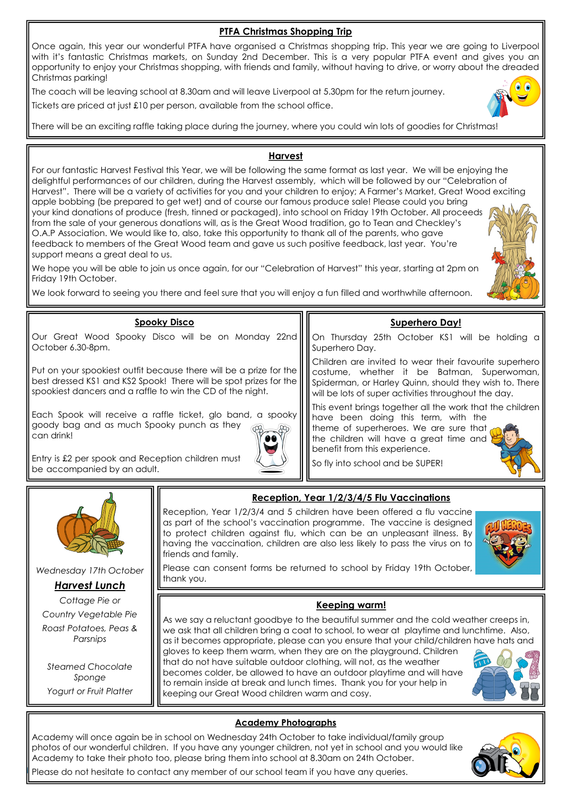## **PTFA Christmas Shopping Trip**

Once again, this year our wonderful PTFA have organised a Christmas shopping trip. This year we are going to Liverpool with it's fantastic Christmas markets, on Sunday 2nd December. This is a very popular PTFA event and gives you an opportunity to enjoy your Christmas shopping, with friends and family, without having to drive, or worry about the dreaded Christmas parking!

The coach will be leaving school at 8.30am and will leave Liverpool at 5.30pm for the return journey.

Tickets are priced at just £10 per person, available from the school office.



### **Harvest**

For our fantastic Harvest Festival this Year, we will be following the same format as last year. We will be enjoying the delightful performances of our children, during the Harvest assembly, which will be followed by our "Celebration of Harvest". There will be a variety of activities for you and your children to enjoy; A Farmer's Market, Great Wood exciting apple bobbing (be prepared to get wet) and of course our famous produce sale! Please could you bring your kind donations of produce (fresh, tinned or packaged), into school on Friday 19th October. All proceeds from the sale of your generous donations will, as is the Great Wood tradition, go to Tean and Checkley's O.A.P Association. We would like to, also, take this opportunity to thank all of the parents, who gave feedback to members of the Great Wood team and gave us such positive feedback, last year. You're support means a great deal to us.

We hope you will be able to join us once again, for our "Celebration of Harvest" this year, starting at 2pm on Friday 19th October.

We look forward to seeing you there and feel sure that you will enjoy a fun filled and worthwhile afternoon.



#### **Spooky Disco**

Our Great Wood Spooky Disco will be on Monday 22nd October 6.30-8pm.

Put on your spookiest outfit because there will be a prize for the best dressed KS1 and KS2 Spook! There will be spot prizes for the spookiest dancers and a raffle to win the CD of the night.

Each Spook will receive a raffle ticket, glo band, a spooky goody bag and as much Spooky punch as they can drink!



Entry is £2 per spook and Reception children must be accompanied by an adult.

#### **Superhero Day!**

On Thursday 25th October KS1 will be holding a Superhero Day.

Children are invited to wear their favourite superhero costume, whether it be Batman, Superwoman, Spiderman, or Harley Quinn, should they wish to. There will be lots of super activities throughout the day.

This event brings together all the work that the children

have been doing this term, with the theme of superheroes. We are sure that the children will have a great time and benefit from this experience.

So fly into school and be SUPER!





*Wednesday 17th October*

*Harvest Lunch*

*Cottage Pie or Country Vegetable Pie Roast Potatoes, Peas & Parsnips*

*Steamed Chocolate Sponge Yogurt or Fruit Platter*

## **Reception, Year 1/2/3/4/5 Flu Vaccinations**

Reception, Year 1/2/3/4 and 5 children have been offered a flu vaccine as part of the school's vaccination programme. The vaccine is designed to protect children against flu, which can be an unpleasant illness. By having the vaccination, children are also less likely to pass the virus on to friends and family.



Please can consent forms be returned to school by Friday 19th October, thank you.

### **Keeping warm!**

As we say a reluctant goodbye to the beautiful summer and the cold weather creeps in, we ask that all children bring a coat to school, to wear at playtime and lunchtime. Also, as it becomes appropriate, please can you ensure that your child/children have hats and gloves to keep them warm, when they are on the playground. Children

that do not have suitable outdoor clothing, will not, as the weather becomes colder, be allowed to have an outdoor playtime and will have to remain inside at break and lunch times. Thank you for your help in keeping our Great Wood children warm and cosy.



### **Academy Photographs**

Academy will once again be in school on Wednesday 24th October to take individual/family group photos of our wonderful children. If you have any younger children, not yet in school and you would like Academy to take their photo too, please bring them into school at 8.30am on 24th October.



Please do not hesitate to contact any member of our school team if you have any queries.